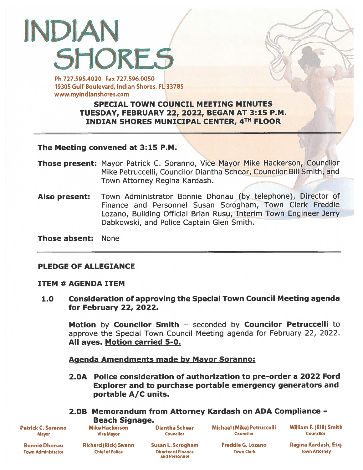# INDIAN SHORES Ph 727.595.4020 Fax 727.596.0050

19305 Gulf Boulevard, Indian Shores, FL 33785 www.myindianshores.com

# SPECIAL TOWN COUNCIL MEETING MINUTES TUESDAY, FEBRUARY 22, 2022, BEGAN AT 3:15 P.M. INDIAN SHORES MUNICIPAL CENTER, 4TH FLOOR

The Meeting convened at 3:15 P.M

- Those present: Mayor Patrick C. Soranno, Vice Mayor Mike Hackerson, Councilor Mike Petruccelli, Councilor Diantha Schear, Councilor Bill Smith, and Town Attorney Regina Kardash.
- Also present: Town Administrator Bonnie Dhonau (by telephone), Director of Finance and Personnel Susan Scrogham, Town Clerk Freddie Lozano, Building Official Brian Rusu, Interim Town Engineer Jerry Dabkowski, and Police Captain Glen Smith.

Those absent: None

# PLEDGE OF ALLEGIANCE

# ITEM # AGENDA ITEM

1.0 Consideration of approving the Special Town Council Meeting agenda for February 22, 2022.

Motion by Councilor Smith - seconded by Councilor Petruccelli to approve the Special Town Council Meeting agenda for February 22, 2022. All ayes. Motion carried 5-0.

Agenda Amendments made by Mayor Soranno:

2.OA Police consideration of authorization to pre-order <sup>a</sup> 2022 Ford Explorer and to purchase portable emergency generators and portable A/C units.

# 2.OB Memorandum from Attorney Kardash on ADA Compliance — Beach Signage.

Patrick C. Soranno Mayor

Mike Hackerson Diantha Schear Michael (Mike) Petruccelli William F. (Bill) Smith<br>Vice Mayor Councilor Councilor Councilor Councilor Councilor Vice Mayor Counclior Counclior Councilor

Bonnie Dhonau Town Administrator

Richard (Rick) Swann Chief of Polko

Ofrector of Finance Town Clerk Town Attorney and Personnel

Susan L. Scrogham Freddie G. Lozano Regina Kardash, Esq.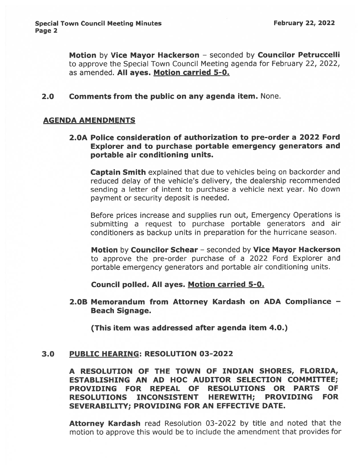Motion by Vice Mayor Hackerson - seconded by Councilor Petruccelli to approve the Special Town Council Meeting agenda for February 22, 2022, as amended. All ayes. Motion carried 5-0.

#### 2.0 Comments from the public on any agenda item. None.

#### AGENDA AMENDMENTS

2.OA Police consideration of authorization to pre-order <sup>a</sup> 2022 Ford Explorer and to purchase portable emergency generators and portable air conditioning units.

**Captain Smith** explained that due to vehicles being on backorder and reduced delay of the vehicle's delivery, the dealership recommended sending <sup>a</sup> letter of intent to purchase <sup>a</sup> vehicle next year. No down paymen<sup>t</sup> or security deposit is needed.

Before prices increase and supplies run out, Emergency Operations is submitting <sup>a</sup> reques<sup>t</sup> to purchase portable generators and air conditioners as backup units in preparation for the hurricane season.

Motion by Councilor Schear - seconded by Vice Mayor Hackerson to approve the pre-order purchase of <sup>a</sup> 2022 Ford Explorer and portable emergency generators and portable air conditioning units.

# Council polled. All ayes. Motion carried 5-0.

2.OB Memorandum from Attorney Kardash on ADA Compliance — Beach Signage.

(This item was addressed after agenda item 4.0.)

#### 3.0 PUBLIC HEARING: RESOLUTION 03-2022

A RESOLUTION OF THE TOWN OF INDIAN SHORES, FLORIDA, ESTABLISHING AN AD HOC AUDITOR SELECTION COMMITTEE; PROVIDING FOR REPEAL OF RESOLUTIONS OR PARTS OF RESOLUTIONS INCONSISTENT HEREWITH; PROVIDING FOR SEVERABILITY; PROVIDING FOR AN EFFECTIVE DATE.

Attorney Kardash read Resolution 03-2022 by title and noted that the motion to approve this would be to include the amendment that provides for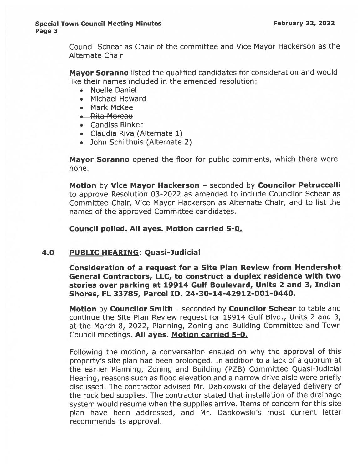#### Special Town Council Meeting Minutes **February 22, 2022** Page 3

Council Schear as Chair of the committee and Vice Mayor Hackerson as the Alternate Chair

Mayor Soranno listed the qualified candidates for consideration and would like their names included in the amended resolution:

- Noelle Daniel
- Michael Howard
- Mark McKee
- .—Rita Morcau
- Candiss Rinker
- Claudia Riva (Alternate 1)
- John Schilthuis (Alternate 2)

Mayor Soranno opened the floor for public comments, which there were none.

Motion by Vice Mayor Hackerson — seconded by Councilor Petruccelli to approve Resolution 03-2022 as amended to include Councilor Schear as Committee Chair, Vice Mayor Hackerson as Alternate Chair, and to list the names of the approved Committee candidates.

# Council polled. All ayes. Motion carried 5-0.

# 4.0 PUBLIC HEARING: Quasi-Judicial

Consideration of <sup>a</sup> reques<sup>t</sup> for <sup>a</sup> Site Plan Review from Hendershot General Contractors, LLC, to construct <sup>a</sup> duplex residence with two stories over parking at 19914 Gulf Boulevard, Units <sup>2</sup> and 3, Indian Shores, FL 33785, Parcel ID. 24-30-14-42912-001-0440.

Motion by Councilor Smith – seconded by Councilor Schear to table and continue the Site Plan Review reques<sup>t</sup> for 19914 Gulf Blvd., Units 2 and 3, at the March 8, 2022, Planning, Zoning and Building Committee and Town Council meetings. All ayes. Motion carried 5-0.

Following the motion, <sup>a</sup> conversation ensued on why the approva<sup>l</sup> of this property's site <sup>p</sup>lan had been prolonged. In addition to <sup>a</sup> lack of <sup>a</sup> quorum at the earlier Planning, Zoning and Building (PZB) Committee Quasi-Judicial Hearing, reasons such as flood elevation and <sup>a</sup> narrow drive aisle were briefly discussed. The contractor advised Mr. Dabkowski of the delayed delivery of the rock bed supplies. The contractor stated that installation of the drainage system would resume when the supplies arrive. Items of concern for this site <sup>p</sup>lan have been addressed, and Mr. Dabkowski's most current letter recommends its approval.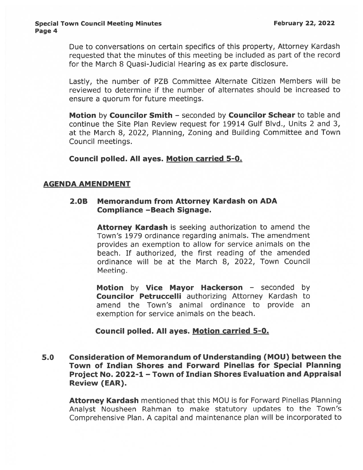Due to conversations on certain specifics of this property, Attorney Kardash requested that the minutes of this meeting be included as par<sup>t</sup> of the record for the March 8 Quasi-Judicial Hearing as ex parte disclosure.

Lastly, the number of PZB Committee Alternate Citizen Members will be reviewed to determine if the number of alternates should be increased to ensure <sup>a</sup> quorum for future meetings.

Motion by Councilor Smith - seconded by Councilor Schear to table and continue the Site Plan Review reques<sup>t</sup> for 19914 Gulf Blvd., Units 2 and 3, at the March 8, 2022, Planning, Zoning and Building Committee and Town Council meetings.

Council polled. All ayes. Motion carried 5-0.

# AGENDA AMENDMENT

# 2.OB Memorandum from Attorney Kardash on ADA Compliance —Beach Signage.

Attorney Kardash is seeking authorization to amend the Town's 1979 ordinance regarding animals. The amendment provides an exemption to allow for service animals on the beach. If authorized, the first reading of the amended ordinance will be at the March 8, 2022, Town Council Meeting.

Motion by Vice Mayor Hackerson - seconded by Councilor Petruccelli authorizing Attorney Kardash to amend the Town's animal ordinance to provide an exemption for service animals on the beach.

# Council polled. All ayes. Motion carried 5-0.

5.0 Consideration of Memorandum of Understanding (MOU) between the Town of Indian Shores and Forward Pinellas for Special Planning Project No. 2022-1 — Town of Indian Shores Evaluation and Appraisal Review (EAR).

Attorney Kardash mentioned that this MOU is for Forward Pinellas Planning Analyst Nousheen Rahman to make statutory updates to the Town's Comprehensive Plan. <sup>A</sup> capital and maintenance <sup>p</sup>lan will be incorporated to